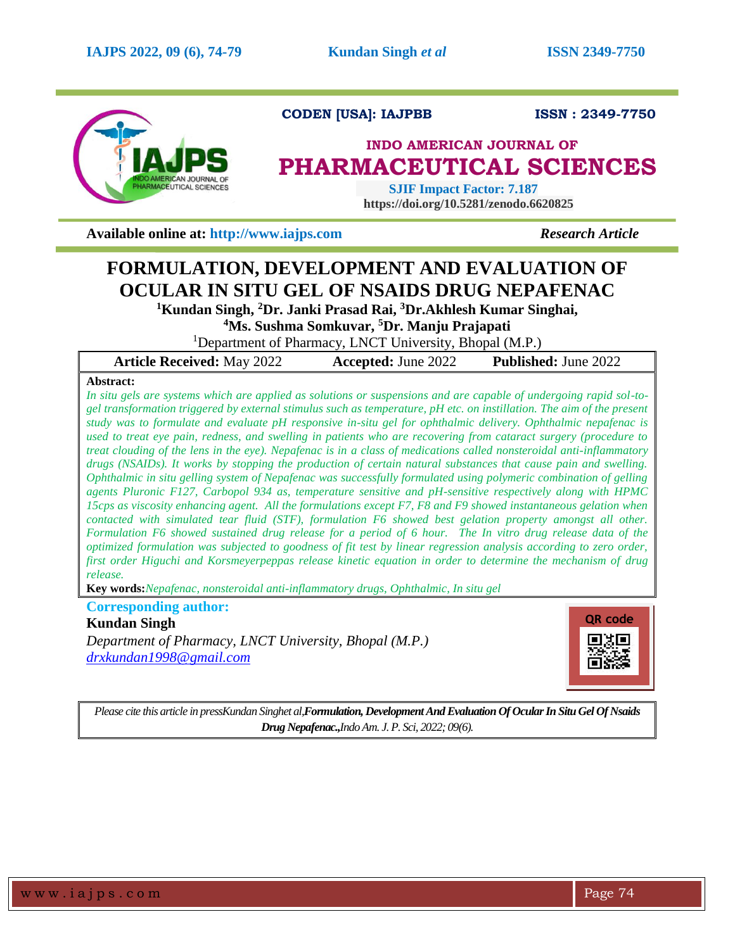

**CODEN [USA]: IAJPBB ISSN : 2349-7750** 

## **INDO AMERICAN JOURNAL OF PHARMACEUTICAL SCIENCES**

 **SJIF Impact Factor: 7.187 https://doi.org/10.5281/zenodo.6620825**

**Available online at: [http://www.iajps.com](http://www.iajps.com/)** *Research Article*

# **FORMULATION, DEVELOPMENT AND EVALUATION OF OCULAR IN SITU GEL OF NSAIDS DRUG NEPAFENAC**

**<sup>1</sup>Kundan Singh, <sup>2</sup>Dr. Janki Prasad Rai, <sup>3</sup>Dr.Akhlesh Kumar Singhai,**

**<sup>4</sup>Ms. Sushma Somkuvar, <sup>5</sup>Dr. Manju Prajapati**

<sup>1</sup>Department of Pharmacy, LNCT University, Bhopal (M.P.)

|  | <b>Article Received: May 2022</b> | <b>Accepted: June 2022</b> | <b>Published:</b> June 2022 |
|--|-----------------------------------|----------------------------|-----------------------------|
|--|-----------------------------------|----------------------------|-----------------------------|

## **Abstract:**

*In situ gels are systems which are applied as solutions or suspensions and are capable of undergoing rapid sol-togel transformation triggered by external stimulus such as temperature, pH etc. on instillation. The aim of the present study was to formulate and evaluate pH responsive in-situ gel for ophthalmic delivery. Ophthalmic nepafenac is used to treat eye pain, redness, and swelling in patients who are recovering from cataract surgery (procedure to treat clouding of the lens in the eye). Nepafenac is in a class of medications called nonsteroidal anti-inflammatory drugs (NSAIDs). It works by stopping the production of certain natural substances that cause pain and swelling. Ophthalmic in situ gelling system of Nepafenac was successfully formulated using polymeric combination of gelling agents Pluronic F127, Carbopol 934 as, temperature sensitive and pH-sensitive respectively along with HPMC 15cps as viscosity enhancing agent. All the formulations except F7, F8 and F9 showed instantaneous gelation when contacted with simulated tear fluid (STF), formulation F6 showed best gelation property amongst all other. Formulation F6 showed sustained drug release for a period of 6 hour. The In vitro drug release data of the optimized formulation was subjected to goodness of fit test by linear regression analysis according to zero order, first order Higuchi and Korsmeyerpeppas release kinetic equation in order to determine the mechanism of drug release.*

**Key words:***Nepafenac, nonsteroidal anti-inflammatory drugs, Ophthalmic, In situ gel* 

**Corresponding author:** 

## **Kundan Singh**

*Department of Pharmacy, LNCT University, Bhopal (M.P.) [drxkundan1998@gmail.com](mailto:drxkundan1998@gmail.com)*



*Please cite this article in pressKundan Singhet al,Formulation, Development And Evaluation Of Ocular In Situ Gel Of Nsaids Drug Nepafenac.,Indo Am. J. P. Sci, 2022; 09(6).*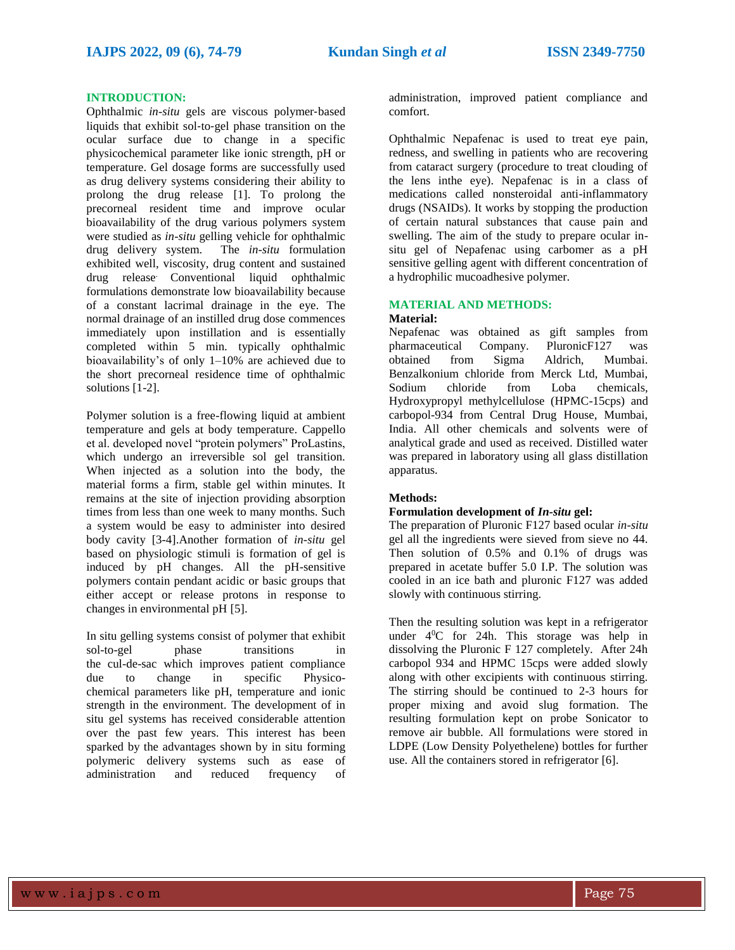#### **INTRODUCTION:**

Ophthalmic *in-situ* gels are viscous polymer-based liquids that exhibit sol‐to‐gel phase transition on the ocular surface due to change in a specific physicochemical parameter like ionic strength, pH or temperature. Gel dosage forms are successfully used as drug delivery systems considering their ability to prolong the drug release [1]. To prolong the precorneal resident time and improve ocular bioavailability of the drug various polymers system were studied as *in-situ* gelling vehicle for ophthalmic drug delivery system. The *in-situ* formulation exhibited well, viscosity, drug content and sustained drug release. Conventional liquid ophthalmic formulations demonstrate low bioavailability because of a constant lacrimal drainage in the eye. The normal drainage of an instilled drug dose commences immediately upon instillation and is essentially completed within 5 min. typically ophthalmic bioavailability's of only 1–10% are achieved due to the short precorneal residence time of ophthalmic solutions [1-2].

Polymer solution is a free-flowing liquid at ambient temperature and gels at body temperature. Cappello et al. developed novel "protein polymers" ProLastins, which undergo an irreversible sol gel transition. When injected as a solution into the body, the material forms a firm, stable gel within minutes. It remains at the site of injection providing absorption times from less than one week to many months. Such a system would be easy to administer into desired body cavity [3-4].Another formation of *in-situ* gel based on physiologic stimuli is formation of gel is induced by pH changes. All the pH-sensitive polymers contain pendant acidic or basic groups that either accept or release protons in response to changes in environmental pH [5].

In situ gelling systems consist of polymer that exhibit sol-to-gel phase transitions in the cul-de-sac which improves patient compliance due to change in specific Physicochemical parameters like pH, temperature and ionic strength in the environment. The development of in situ gel systems has received considerable attention over the past few years. This interest has been sparked by the advantages shown by in situ forming polymeric delivery systems such as ease of administration and reduced frequency of

administration, improved patient compliance and comfort.

Ophthalmic Nepafenac is used to treat eye pain, redness, and swelling in patients who are recovering from cataract surgery (procedure to treat clouding of the lens inthe eye). Nepafenac is in a class of medications called nonsteroidal anti-inflammatory drugs (NSAIDs). It works by stopping the production of certain natural substances that cause pain and swelling. The aim of the study to prepare ocular insitu gel of Nepafenac using carbomer as a pH sensitive gelling agent with different concentration of a hydrophilic mucoadhesive polymer.

#### **MATERIAL AND METHODS: Material:**

## Nepafenac was obtained as gift samples from pharmaceutical Company. PluronicF127 was obtained from Sigma Aldrich, Mumbai. Benzalkonium chloride from Merck Ltd, Mumbai, Sodium chloride from Loba chemicals, Hydroxypropyl methylcellulose (HPMC-15cps) and carbopol-934 from Central Drug House, Mumbai, India. All other chemicals and solvents were of analytical grade and used as received. Distilled water was prepared in laboratory using all glass distillation

## **Methods:**

apparatus.

## **Formulation development of** *In-situ* **gel:**

The preparation of Pluronic F127 based ocular *in-situ* gel all the ingredients were sieved from sieve no 44. Then solution of 0.5% and 0.1% of drugs was prepared in acetate buffer 5.0 I.P. The solution was cooled in an ice bath and pluronic F127 was added slowly with continuous stirring.

Then the resulting solution was kept in a refrigerator under  $4^{\circ}$ C for 24h. This storage was help in dissolving the Pluronic F 127 completely. After 24h carbopol 934 and HPMC 15cps were added slowly along with other excipients with continuous stirring. The stirring should be continued to 2-3 hours for proper mixing and avoid slug formation. The resulting formulation kept on probe Sonicator to remove air bubble. All formulations were stored in LDPE (Low Density Polyethelene) bottles for further use. All the containers stored in refrigerator [6].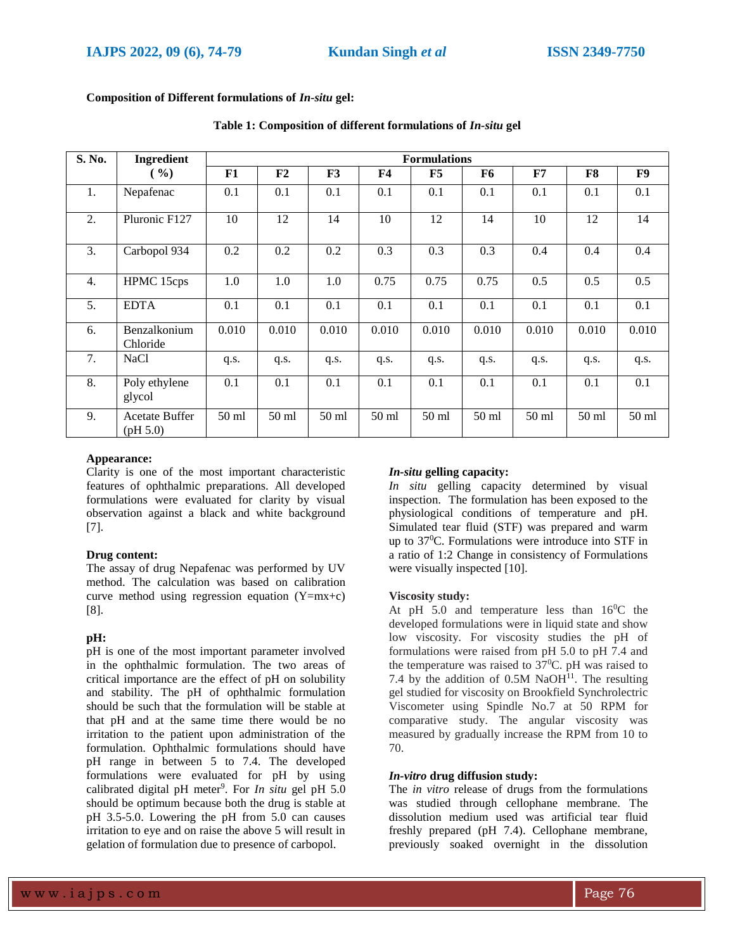| S. No. | Ingredient                        |       | <b>Formulations</b> |                  |       |         |       |       |       |       |
|--------|-----------------------------------|-------|---------------------|------------------|-------|---------|-------|-------|-------|-------|
|        | ( %)                              | F1    | F <sub>2</sub>      | F3               | F4    | F5      | F6    | F7    | F8    | F9    |
| 1.     | Nepafenac                         | 0.1   | 0.1                 | 0.1              | 0.1   | 0.1     | 0.1   | 0.1   | 0.1   | 0.1   |
| 2.     | Pluronic F127                     | 10    | 12                  | 14               | 10    | 12      | 14    | 10    | 12    | 14    |
| 3.     | Carbopol 934                      | 0.2   | 0.2                 | 0.2              | 0.3   | 0.3     | 0.3   | 0.4   | 0.4   | 0.4   |
| 4.     | HPMC 15cps                        | 1.0   | 1.0                 | 1.0              | 0.75  | 0.75    | 0.75  | 0.5   | 0.5   | 0.5   |
| 5.     | <b>EDTA</b>                       | 0.1   | 0.1                 | 0.1              | 0.1   | 0.1     | 0.1   | 0.1   | 0.1   | 0.1   |
| 6.     | Benzalkonium<br>Chloride          | 0.010 | 0.010               | 0.010            | 0.010 | 0.010   | 0.010 | 0.010 | 0.010 | 0.010 |
| 7.     | NaCl                              | q.s.  | q.s.                | q.s.             | q.s.  | q.s.    | q.s.  | q.s.  | q.s.  | q.s.  |
| 8.     | Poly ethylene<br>glycol           | 0.1   | 0.1                 | 0.1              | 0.1   | 0.1     | 0.1   | 0.1   | 0.1   | 0.1   |
| 9.     | <b>Acetate Buffer</b><br>(pH 5.0) | 50 ml | 50 ml               | 50 <sub>ml</sub> | 50 ml | $50$ ml | 50 ml | 50 ml | 50 ml | 50 ml |

**Composition of Different formulations of** *In-situ* **gel:**

## **Table 1: Composition of different formulations of** *In-situ* **gel**

#### **Appearance:**

Clarity is one of the most important characteristic features of ophthalmic preparations. All developed formulations were evaluated for clarity by visual observation against a black and white background [7].

#### **Drug content:**

The assay of drug Nepafenac was performed by UV method. The calculation was based on calibration curve method using regression equation  $(Y=mx+c)$ [8].

#### **pH:**

pH is one of the most important parameter involved in the ophthalmic formulation. The two areas of critical importance are the effect of pH on solubility and stability. The pH of ophthalmic formulation should be such that the formulation will be stable at that pH and at the same time there would be no irritation to the patient upon administration of the formulation. Ophthalmic formulations should have pH range in between 5 to 7.4. The developed formulations were evaluated for pH by using calibrated digital pH meter<sup>9</sup>. For *In situ* gel pH 5.0 should be optimum because both the drug is stable at pH 3.5-5.0. Lowering the pH from 5.0 can causes irritation to eye and on raise the above 5 will result in gelation of formulation due to presence of carbopol.

### *In-situ* **gelling capacity:**

*In situ* gelling capacity determined by visual inspection. The formulation has been exposed to the physiological conditions of temperature and pH. Simulated tear fluid (STF) was prepared and warm up to 37<sup>0</sup>C. Formulations were introduce into STF in a ratio of 1:2 Change in consistency of Formulations were visually inspected [10].

#### **Viscosity study:**

At pH 5.0 and temperature less than  $16^{\circ}$ C the developed formulations were in liquid state and show low viscosity. For viscosity studies the pH of formulations were raised from pH 5.0 to pH 7.4 and the temperature was raised to  $37^{\circ}$ C. pH was raised to 7.4 by the addition of  $0.5M$  NaOH $^{11}$ . The resulting gel studied for viscosity on Brookfield Synchrolectric Viscometer using Spindle No.7 at 50 RPM for comparative study. The angular viscosity was measured by gradually increase the RPM from 10 to 70.

#### *In-vitro* **drug diffusion study:**

The *in vitro* release of drugs from the formulations was studied through cellophane membrane. The dissolution medium used was artificial tear fluid freshly prepared (pH 7.4). Cellophane membrane, previously soaked overnight in the dissolution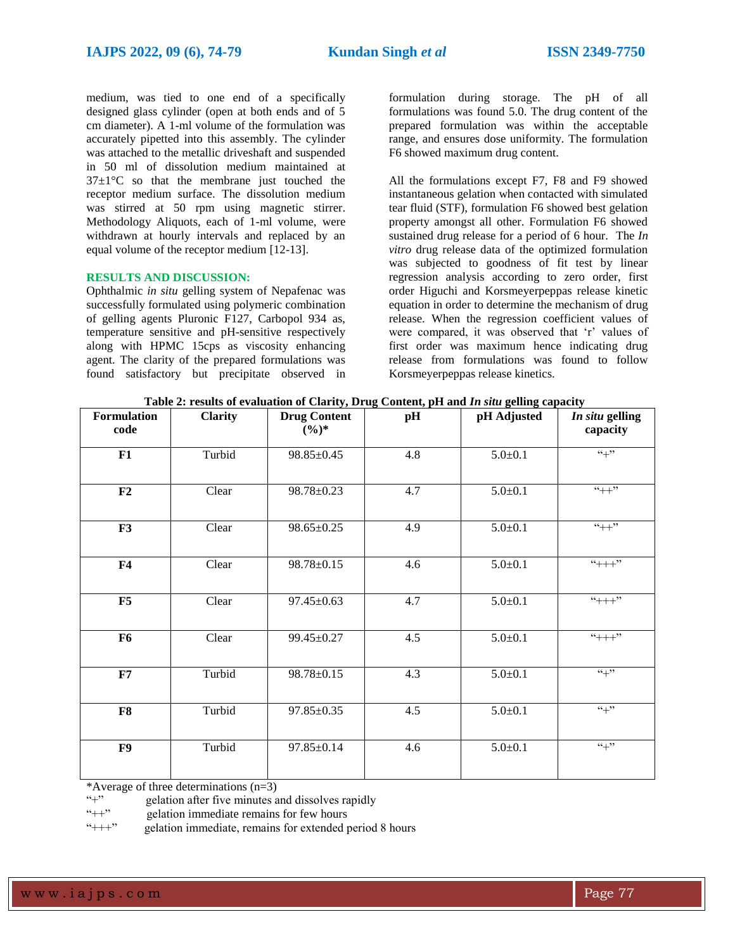medium, was tied to one end of a specifically designed glass cylinder (open at both ends and of 5 cm diameter). A 1-ml volume of the formulation was accurately pipetted into this assembly. The cylinder was attached to the metallic driveshaft and suspended in 50 ml of dissolution medium maintained at  $37\pm1\degree$ C so that the membrane just touched the receptor medium surface. The dissolution medium was stirred at 50 rpm using magnetic stirrer. Methodology Aliquots, each of 1-ml volume, were withdrawn at hourly intervals and replaced by an equal volume of the receptor medium [12-13].

## **RESULTS AND DISCUSSION:**

Ophthalmic *in situ* gelling system of Nepafenac was successfully formulated using polymeric combination of gelling agents Pluronic F127, Carbopol 934 as, temperature sensitive and pH-sensitive respectively along with HPMC 15cps as viscosity enhancing agent. The clarity of the prepared formulations was found satisfactory but precipitate observed in formulation during storage. The pH of all formulations was found 5.0. The drug content of the prepared formulation was within the acceptable range, and ensures dose uniformity. The formulation F6 showed maximum drug content.

All the formulations except F7, F8 and F9 showed instantaneous gelation when contacted with simulated tear fluid (STF), formulation F6 showed best gelation property amongst all other. Formulation F6 showed sustained drug release for a period of 6 hour. The *In vitro* drug release data of the optimized formulation was subjected to goodness of fit test by linear regression analysis according to zero order, first order Higuchi and Korsmeyerpeppas release kinetic equation in order to determine the mechanism of drug release. When the regression coefficient values of were compared, it was observed that 'r' values of first order was maximum hence indicating drug release from formulations was found to follow Korsmeyerpeppas release kinetics.

|  | Table 2: results of evaluation of Clarity, Drug Content, pH and In situ gelling capacity |  |  |  |  |
|--|------------------------------------------------------------------------------------------|--|--|--|--|
|  |                                                                                          |  |  |  |  |

| Formulation    | <b>Clarity</b> | revariation of emily, brug content, pri and in sum gening capacity<br><b>Drug Content</b> | pH  | pH Adjusted   | In situ gelling   |
|----------------|----------------|-------------------------------------------------------------------------------------------|-----|---------------|-------------------|
| code           |                | $(\%)^*$                                                                                  |     |               | capacity          |
| F1             | Turbid         | $98.85 \pm 0.45$                                                                          | 4.8 | $5.0 \pm 0.1$ | $54 + 22$         |
| F <sub>2</sub> | Clear          | 98.78±0.23                                                                                | 4.7 | $5.0 \pm 0.1$ | $44+1$            |
| F3             | Clear          | $98.65 \pm 0.25$                                                                          | 4.9 | $5.0 \pm 0.1$ | $``++"$           |
| F <sub>4</sub> | Clear          | 98.78±0.15                                                                                | 4.6 | $5.0 \pm 0.1$ | $4 + + +$         |
| F5             | Clear          | $97.45 \pm 0.63$                                                                          | 4.7 | $5.0 \pm 0.1$ | $4 + + +$         |
| F <sub>6</sub> | Clear          | 99.45±0.27                                                                                | 4.5 | $5.0 \pm 0.1$ | $44+1$            |
| F7             | Turbid         | 98.78±0.15                                                                                | 4.3 | $5.0 \pm 0.1$ | $``+"$            |
| F8             | Turbid         | $97.85 \pm 0.35$                                                                          | 4.5 | $5.0 \pm 0.1$ | $\overline{``+"}$ |
| F9             | Turbid         | 97.85±0.14                                                                                | 4.6 | $5.0 \pm 0.1$ | $\overline{``+"}$ |

\*Average of three determinations  $(n=3)$ <br>"+" selation after five minutes a

" $'$ " gelation after five minutes and dissolves rapidly<br>" $'$ " gelation immediate remains for few hours

gelation immediate remains for few hours

"+++" gelation immediate, remains for extended period 8 hours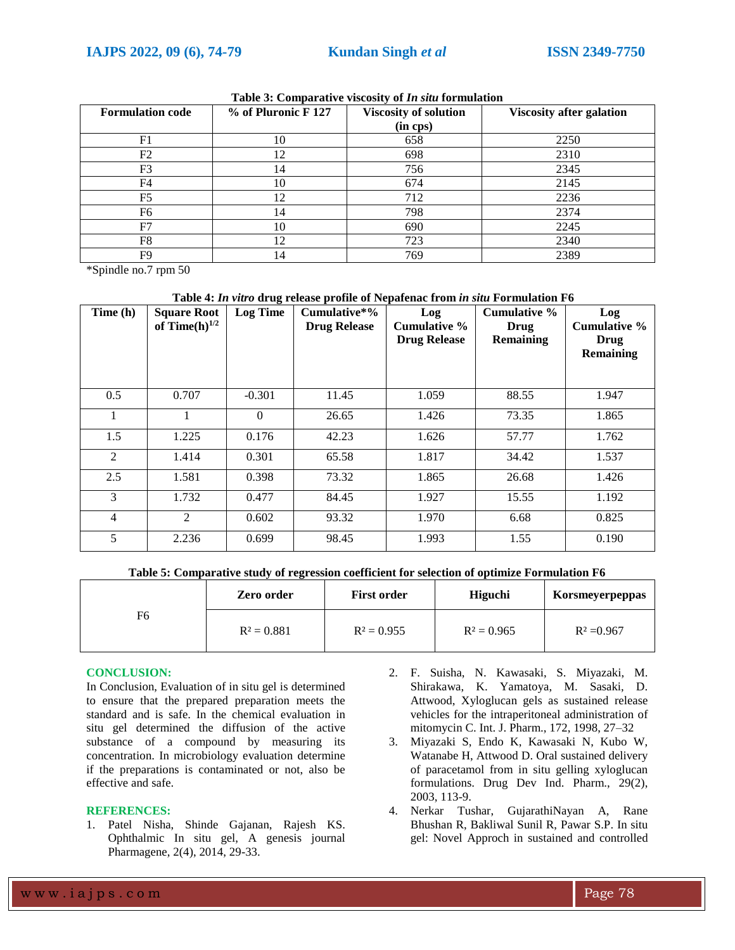| <b>Formulation code</b> | $%$ of Pluronic F 127 | <b>Viscosity of solution</b> | <b>Viscosity after galation</b> |
|-------------------------|-----------------------|------------------------------|---------------------------------|
|                         |                       | $(in \; cps)$                |                                 |
| F1                      | 10                    | 658                          | 2250                            |
| F2                      | 12                    | 698                          | 2310                            |
| F3                      | 14                    | 756                          | 2345                            |
| F4                      | 10                    | 674                          | 2145                            |
| F5                      | 12                    | 712                          | 2236                            |
| F6                      | 14                    | 798                          | 2374                            |
| F7                      | 10                    | 690                          | 2245                            |
| F8                      | 12                    | 723                          | 2340                            |
| F9                      | 14                    | 769                          | 2389                            |

|  |  |  |  |  | Table 3: Comparative viscosity of <i>In situ</i> formulation |
|--|--|--|--|--|--------------------------------------------------------------|
|--|--|--|--|--|--------------------------------------------------------------|

\*Spindle no.7 rpm 50

#### **Table 4:** *In vitro* **drug release profile of Nepafenac from** *in situ* **Formulation F6**

| Time (h) | <b>Square Root</b><br>of Time $(h)$ <sup>1/2</sup> | <b>Log Time</b> | Cumulative*%<br><b>Drug Release</b> | Log<br>Cumulative %<br><b>Drug Release</b> | Cumulative %<br>Drug<br><b>Remaining</b> | Log<br>Cumulative %<br>Drug<br><b>Remaining</b> |
|----------|----------------------------------------------------|-----------------|-------------------------------------|--------------------------------------------|------------------------------------------|-------------------------------------------------|
| 0.5      | 0.707                                              | $-0.301$        | 11.45                               | 1.059                                      | 88.55                                    | 1.947                                           |
| 1        | 1                                                  | $\Omega$        | 26.65                               | 1.426                                      | 73.35                                    | 1.865                                           |
| 1.5      | 1.225                                              | 0.176           | 42.23                               | 1.626                                      | 57.77                                    | 1.762                                           |
| 2        | 1.414                                              | 0.301           | 65.58                               | 1.817                                      | 34.42                                    | 1.537                                           |
| 2.5      | 1.581                                              | 0.398           | 73.32                               | 1.865                                      | 26.68                                    | 1.426                                           |
| 3        | 1.732                                              | 0.477           | 84.45                               | 1.927                                      | 15.55                                    | 1.192                                           |
| 4        | 2                                                  | 0.602           | 93.32                               | 1.970                                      | 6.68                                     | 0.825                                           |
| 5        | 2.236                                              | 0.699           | 98.45                               | 1.993                                      | 1.55                                     | 0.190                                           |

#### **Table 5: Comparative study of regression coefficient for selection of optimize Formulation F6**

|    | Zero order    | <b>First order</b> | Higuchi       | Korsmeyerpeppas |
|----|---------------|--------------------|---------------|-----------------|
| F6 | $R^2 = 0.881$ | $R^2 = 0.955$      | $R^2 = 0.965$ | $R^2 = 0.967$   |

#### **CONCLUSION:**

In Conclusion, Evaluation of in situ gel is determined to ensure that the prepared preparation meets the standard and is safe. In the chemical evaluation in situ gel determined the diffusion of the active substance of a compound by measuring its concentration. In microbiology evaluation determine if the preparations is contaminated or not, also be effective and safe.

#### **REFERENCES:**

- 1. Patel Nisha, Shinde Gajanan, Rajesh KS. Ophthalmic In situ gel, A genesis journal Pharmagene, 2(4), 2014, 29-33.
- 2. F. Suisha, N. Kawasaki, S. Miyazaki, M. Shirakawa, K. Yamatoya, M. Sasaki, D. Attwood, Xyloglucan gels as sustained release vehicles for the intraperitoneal administration of mitomycin C. Int. J. Pharm., 172, 1998, 27–32
- 3. Miyazaki S, Endo K, Kawasaki N, Kubo W, Watanabe H, Attwood D. Oral sustained delivery of paracetamol from in situ gelling xyloglucan formulations. Drug Dev Ind. Pharm., 29(2), 2003, 113-9.
- 4. Nerkar Tushar, GujarathiNayan A, Rane Bhushan R, Bakliwal Sunil R, Pawar S.P. In situ gel: Novel Approch in sustained and controlled